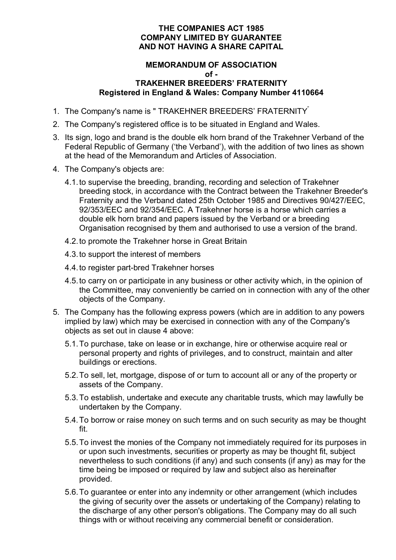# **THE COMPANIES ACT 1985 COMPANY LIMITED BY GUARANTEE AND NOT HAVING A SHARE CAPITAL**

#### **MEMORANDUM OF ASSOCIATION of - TRAKEHNER BREEDERS' FRATERNITY Registered in England & Wales: Company Number 4110664**

- 1. The Company's name is " TRAKEHNER BREEDERS' FRATERNITY"
- 2. The Company's registered office is to be situated in England and Wales.
- 3. Its sign, logo and brand is the double elk horn brand of the Trakehner Verband of the Federal Republic of Germany ('the Verband'), with the addition of two lines as shown at the head of the Memorandum and Articles of Association.
- 4. The Company's objects are:
	- 4.1. to supervise the breeding, branding, recording and selection of Trakehner breeding stock, in accordance with the Contract between the Trakehner Breeder's Fraternity and the Verband dated 25th October 1985 and Directives 90/427/EEC, 92/353/EEC and 92/354/EEC. A Trakehner horse is a horse which carries a double elk horn brand and papers issued by the Verband or a breeding Organisation recognised by them and authorised to use a version of the brand.
	- 4.2. to promote the Trakehner horse in Great Britain
	- 4.3. to support the interest of members
	- 4.4. to register part-bred Trakehner horses
	- 4.5. to carry on or participate in any business or other activity which, in the opinion of the Committee, may conveniently be carried on in connection with any of the other objects of the Company.
- 5. The Company has the following express powers (which are in addition to any powers implied by law) which may be exercised in connection with any of the Company's objects as set out in clause 4 above:
	- 5.1. To purchase, take on lease or in exchange, hire or otherwise acquire real or personal property and rights of privileges, and to construct, maintain and alter buildings or erections.
	- 5.2. To sell, let, mortgage, dispose of or turn to account all or any of the property or assets of the Company.
	- 5.3. To establish, undertake and execute any charitable trusts, which may lawfully be undertaken by the Company.
	- 5.4. To borrow or raise money on such terms and on such security as may be thought fit.
	- 5.5. To invest the monies of the Company not immediately required for its purposes in or upon such investments, securities or property as may be thought fit, subject nevertheless to such conditions (if any) and such consents (if any) as may for the time being be imposed or required by law and subject also as hereinafter provided.
	- 5.6. To guarantee or enter into any indemnity or other arrangement (which includes the giving of security over the assets or undertaking of the Company) relating to the discharge of any other person's obligations. The Company may do all such things with or without receiving any commercial benefit or consideration.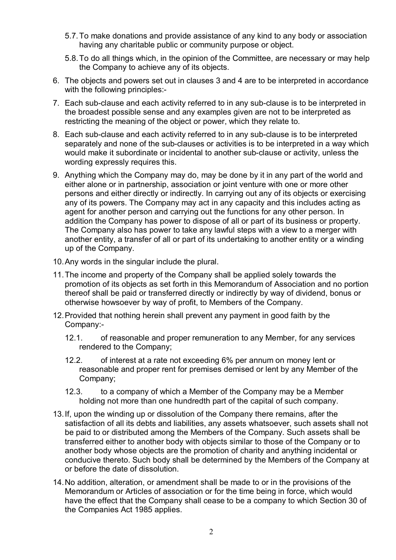- 5.7. To make donations and provide assistance of any kind to any body or association having any charitable public or community purpose or object.
- 5.8. To do all things which, in the opinion of the Committee, are necessary or may help the Company to achieve any of its objects.
- 6. The objects and powers set out in clauses 3 and 4 are to be interpreted in accordance with the following principles:-
- 7. Each sub-clause and each activity referred to in any sub-clause is to be interpreted in the broadest possible sense and any examples given are not to be interpreted as restricting the meaning of the object or power, which they relate to.
- 8. Each sub-clause and each activity referred to in any sub-clause is to be interpreted separately and none of the sub-clauses or activities is to be interpreted in a way which would make it subordinate or incidental to another sub-clause or activity, unless the wording expressly requires this.
- 9. Anything which the Company may do, may be done by it in any part of the world and either alone or in partnership, association or joint venture with one or more other persons and either directly or indirectly. In carrying out any of its objects or exercising any of its powers. The Company may act in any capacity and this includes acting as agent for another person and carrying out the functions for any other person. In addition the Company has power to dispose of all or part of its business or property. The Company also has power to take any lawful steps with a view to a merger with another entity, a transfer of all or part of its undertaking to another entity or a winding up of the Company.
- 10. Any words in the singular include the plural.
- 11. The income and property of the Company shall be applied solely towards the promotion of its objects as set forth in this Memorandum of Association and no portion thereof shall be paid or transferred directly or indirectly by way of dividend, bonus or otherwise howsoever by way of profit, to Members of the Company.
- 12. Provided that nothing herein shall prevent any payment in good faith by the Company:-
	- 12.1. of reasonable and proper remuneration to any Member, for any services rendered to the Company;
	- 12.2. of interest at a rate not exceeding 6% per annum on money lent or reasonable and proper rent for premises demised or lent by any Member of the Company;
	- 12.3. to a company of which a Member of the Company may be a Member holding not more than one hundredth part of the capital of such company.
- 13. If, upon the winding up or dissolution of the Company there remains, after the satisfaction of all its debts and liabilities, any assets whatsoever, such assets shall not be paid to or distributed among the Members of the Company. Such assets shall be transferred either to another body with objects similar to those of the Company or to another body whose objects are the promotion of charity and anything incidental or conducive thereto. Such body shall be determined by the Members of the Company at or before the date of dissolution.
- 14. No addition, alteration, or amendment shall be made to or in the provisions of the Memorandum or Articles of association or for the time being in force, which would have the effect that the Company shall cease to be a company to which Section 30 of the Companies Act 1985 applies.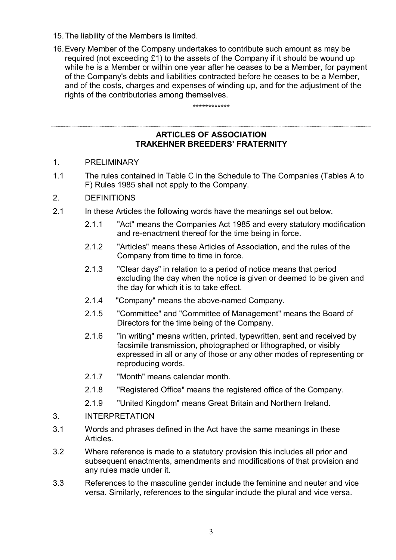- 15. The liability of the Members is limited.
- 16. Every Member of the Company undertakes to contribute such amount as may be required (not exceeding £1) to the assets of the Company if it should be wound up while he is a Member or within one year after he ceases to be a Member, for payment of the Company's debts and liabilities contracted before he ceases to be a Member, and of the costs, charges and expenses of winding up, and for the adjustment of the rights of the contributories among themselves.

\*\*\*\*\*\*\*\*\*\*\*\*

# **ARTICLES OF ASSOCIATION TRAKEHNER BREEDERS' FRATERNITY**

- 1. PRELIMINARY
- 1.1 The rules contained in Table C in the Schedule to The Companies (Tables A to F) Rules 1985 shall not apply to the Company.
- 2. DEFINITIONS
- 2.1 In these Articles the following words have the meanings set out below.
	- 2.1.1 "Act" means the Companies Act 1985 and every statutory modification and re-enactment thereof for the time being in force.
	- 2.1.2 "Articles" means these Articles of Association, and the rules of the Company from time to time in force.
	- 2.1.3 "Clear days" in relation to a period of notice means that period excluding the day when the notice is given or deemed to be given and the day for which it is to take effect.
	- 2.1.4 "Company" means the above-named Company.
	- 2.1.5 "Committee" and "Committee of Management" means the Board of Directors for the time being of the Company.
	- 2.1.6 "in writing" means written, printed, typewritten, sent and received by facsimile transmission, photographed or lithographed, or visibly expressed in all or any of those or any other modes of representing or reproducing words.
	- 2.1.7 "Month" means calendar month.
	- 2.1.8 "Registered Office" means the registered office of the Company.
	- 2.1.9 "United Kingdom" means Great Britain and Northern Ireland.
- 3. INTERPRETATION
- 3.1 Words and phrases defined in the Act have the same meanings in these Articles.
- 3.2 Where reference is made to a statutory provision this includes all prior and subsequent enactments, amendments and modifications of that provision and any rules made under it.
- 3.3 References to the masculine gender include the feminine and neuter and vice versa. Similarly, references to the singular include the plural and vice versa.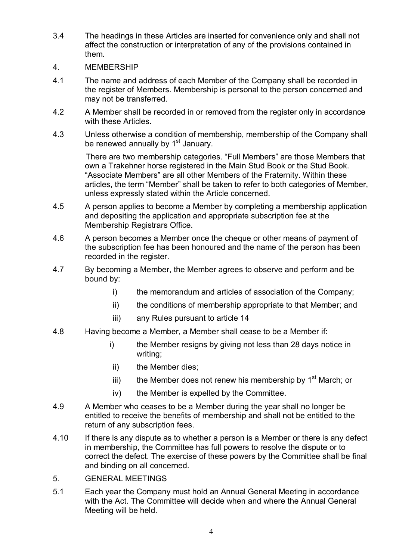- 3.4 The headings in these Articles are inserted for convenience only and shall not affect the construction or interpretation of any of the provisions contained in them.
- 4. MEMBERSHIP
- 4.1 The name and address of each Member of the Company shall be recorded in the register of Members. Membership is personal to the person concerned and may not be transferred.
- 4.2 A Member shall be recorded in or removed from the register only in accordance with these Articles.
- 4.3 Unless otherwise a condition of membership, membership of the Company shall be renewed annually by 1<sup>st</sup> January.

There are two membership categories. "Full Members" are those Members that own a Trakehner horse registered in the Main Stud Book or the Stud Book. "Associate Members" are all other Members of the Fraternity. Within these articles, the term "Member" shall be taken to refer to both categories of Member, unless expressly stated within the Article concerned.

- 4.5 A person applies to become a Member by completing a membership application and depositing the application and appropriate subscription fee at the Membership Registrars Office.
- 4.6 A person becomes a Member once the cheque or other means of payment of the subscription fee has been honoured and the name of the person has been recorded in the register.
- 4.7 By becoming a Member, the Member agrees to observe and perform and be bound by:
	- i) the memorandum and articles of association of the Company;
	- ii) the conditions of membership appropriate to that Member; and
	- iii) any Rules pursuant to article 14
- 4.8 Having become a Member, a Member shall cease to be a Member if:
	- i) the Member resigns by giving not less than 28 days notice in writing;
	- ii) the Member dies;
	- iii) the Member does not renew his membership by  $1<sup>st</sup>$  March; or
	- iv) the Member is expelled by the Committee.
- 4.9 A Member who ceases to be a Member during the year shall no longer be entitled to receive the benefits of membership and shall not be entitled to the return of any subscription fees.
- 4.10 If there is any dispute as to whether a person is a Member or there is any defect in membership, the Committee has full powers to resolve the dispute or to correct the defect. The exercise of these powers by the Committee shall be final and binding on all concerned.
- 5. GENERAL MEETINGS
- 5.1 Each year the Company must hold an Annual General Meeting in accordance with the Act. The Committee will decide when and where the Annual General Meeting will be held.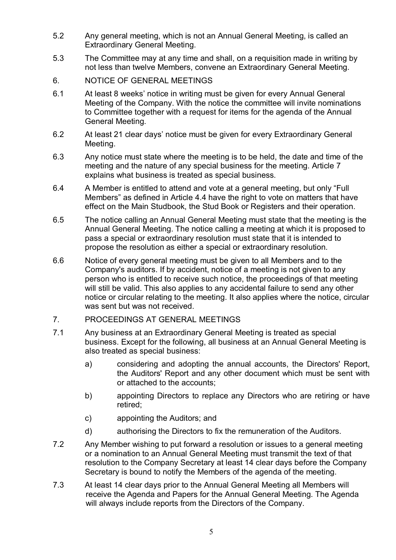- 5.2 Any general meeting, which is not an Annual General Meeting, is called an Extraordinary General Meeting.
- 5.3 The Committee may at any time and shall, on a requisition made in writing by not less than twelve Members, convene an Extraordinary General Meeting.
- 6. NOTICE OF GENERAL MEETINGS
- 6.1 At least 8 weeks' notice in writing must be given for every Annual General Meeting of the Company. With the notice the committee will invite nominations to Committee together with a request for items for the agenda of the Annual General Meeting.
- 6.2 At least 21 clear days' notice must be given for every Extraordinary General Meeting.
- 6.3 Any notice must state where the meeting is to be held, the date and time of the meeting and the nature of any special business for the meeting. Article 7 explains what business is treated as special business.
- 6.4 A Member is entitled to attend and vote at a general meeting, but only "Full Members" as defined in Article 4.4 have the right to vote on matters that have effect on the Main Studbook, the Stud Book or Registers and their operation.
- 6.5 The notice calling an Annual General Meeting must state that the meeting is the Annual General Meeting. The notice calling a meeting at which it is proposed to pass a special or extraordinary resolution must state that it is intended to propose the resolution as either a special or extraordinary resolution.
- 6.6 Notice of every general meeting must be given to all Members and to the Company's auditors. If by accident, notice of a meeting is not given to any person who is entitled to receive such notice, the proceedings of that meeting will still be valid. This also applies to any accidental failure to send any other notice or circular relating to the meeting. It also applies where the notice, circular was sent but was not received.

# 7. PROCEEDINGS AT GENERAL MEETINGS

- 7.1 Any business at an Extraordinary General Meeting is treated as special business. Except for the following, all business at an Annual General Meeting is also treated as special business:
	- a) considering and adopting the annual accounts, the Directors' Report, the Auditors' Report and any other document which must be sent with or attached to the accounts;
	- b) appointing Directors to replace any Directors who are retiring or have retired;
	- c) appointing the Auditors; and
	- d) authorising the Directors to fix the remuneration of the Auditors.
- 7.2 Any Member wishing to put forward a resolution or issues to a general meeting or a nomination to an Annual General Meeting must transmit the text of that resolution to the Company Secretary at least 14 clear days before the Company Secretary is bound to notify the Members of the agenda of the meeting.
- 7.3 At least 14 clear days prior to the Annual General Meeting all Members will receive the Agenda and Papers for the Annual General Meeting. The Agenda will always include reports from the Directors of the Company.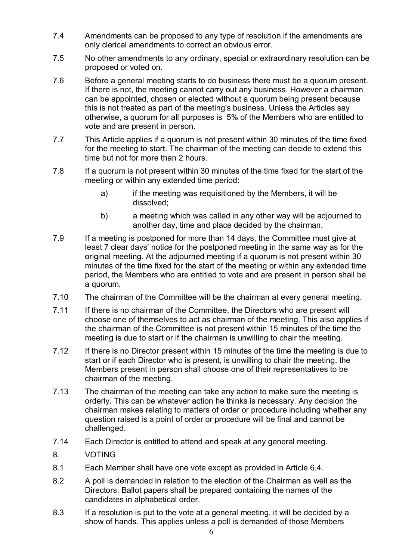- 7.4 Amendments can be proposed to any type of resolution if the amendments are only clerical amendments to correct an obvious error.
- 7.5 No other amendments to any ordinary, special or extraordinary resolution can be proposed or voted on.
- 7.6 Before a general meeting starts to do business there must be a quorum present. If there is not, the meeting cannot carry out any business. However a chairman can be appointed, chosen or elected without a quorum being present because this is not treated as part of the meeting's business. Unless the Articles say otherwise, a quorum for all purposes is 5% of the Members who are entitled to vote and are present in person.
- 7.7 This Article applies if a quorum is not present within 30 minutes of the time fixed for the meeting to start. The chairman of the meeting can decide to extend this time but not for more than 2 hours.
- 7.8 If a quorum is not present within 30 minutes of the time fixed for the start of the meeting or within any extended time period:
	- a) if the meeting was requisitioned by the Members, it will be dissolved;
	- b) a meeting which was called in any other way will be adjourned to another day, time and place decided by the chairman.
- 7.9 If a meeting is postponed for more than 14 days, the Committee must give at least 7 clear days' notice for the postponed meeting in the same way as for the original meeting. At the adjourned meeting if a quorum is not present within 30 minutes of the time fixed for the start of the meeting or within any extended time period, the Members who are entitled to vote and are present in person shall be a quorum.
- 7.10 The chairman of the Committee will be the chairman at every general meeting.
- 7.11 If there is no chairman of the Committee, the Directors who are present will choose one of themselves to act as chairman of the meeting. This also applies if the chairman of the Committee is not present within 15 minutes of the time the meeting is due to start or if the chairman is unwilling to chair the meeting.
- 7.12 If there is no Director present within 15 minutes of the time the meeting is due to start or if each Director who is present, is unwilling to chair the meeting, the Members present in person shall choose one of their representatives to be chairman of the meeting.
- 7.13 The chairman of the meeting can take any action to make sure the meeting is orderly. This can be whatever action he thinks is necessary. Any decision the chairman makes relating to matters of order or procedure including whether any question raised is a point of order or procedure will be final and cannot be challenged.
- 7.14 Each Director is entitled to attend and speak at any general meeting.
- 8. VOTING
- 8.1 Each Member shall have one vote except as provided in Article 6.4.
- 8.2 A poll is demanded in relation to the election of the Chairman as well as the Directors. Ballot papers shall be prepared containing the names of the candidates in alphabetical order.
- 8.3 If a resolution is put to the vote at a general meeting, it will be decided by a show of hands. This applies unless a poll is demanded of those Members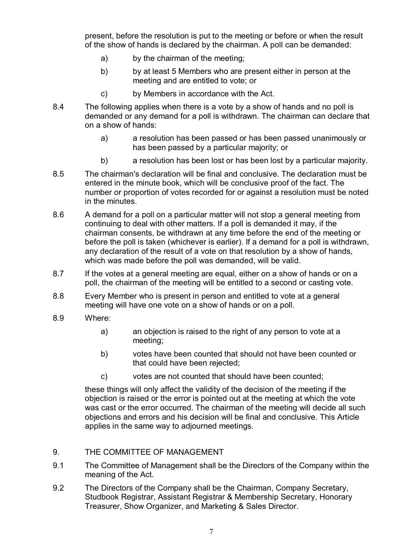present, before the resolution is put to the meeting or before or when the result of the show of hands is declared by the chairman. A poll can be demanded:

- a) by the chairman of the meeting;
- b) by at least 5 Members who are present either in person at the meeting and are entitled to vote; or
- c) by Members in accordance with the Act.
- 8.4 The following applies when there is a vote by a show of hands and no poll is demanded or any demand for a poll is withdrawn. The chairman can declare that on a show of hands:
	- a) a resolution has been passed or has been passed unanimously or has been passed by a particular majority; or
	- b) a resolution has been lost or has been lost by a particular majority.
- 8.5 The chairman's declaration will be final and conclusive. The declaration must be entered in the minute book, which will be conclusive proof of the fact. The number or proportion of votes recorded for or against a resolution must be noted in the minutes.
- 8.6 A demand for a poll on a particular matter will not stop a general meeting from continuing to deal with other matters. If a poll is demanded it may, if the chairman consents, be withdrawn at any time before the end of the meeting or before the poll is taken (whichever is earlier). If a demand for a poll is withdrawn, any declaration of the result of a vote on that resolution by a show of hands, which was made before the poll was demanded, will be valid.
- 8.7 If the votes at a general meeting are equal, either on a show of hands or on a poll, the chairman of the meeting will be entitled to a second or casting vote.
- 8.8 Every Member who is present in person and entitled to vote at a general meeting will have one vote on a show of hands or on a poll.
- 8.9 Where:
	- a) an objection is raised to the right of any person to vote at a meeting;
	- b) votes have been counted that should not have been counted or that could have been rejected;
	- c) votes are not counted that should have been counted;

these things will only affect the validity of the decision of the meeting if the objection is raised or the error is pointed out at the meeting at which the vote was cast or the error occurred. The chairman of the meeting will decide all such objections and errors and his decision will be final and conclusive. This Article applies in the same way to adjourned meetings.

# 9. THE COMMITTEE OF MANAGEMENT

- 9.1 The Committee of Management shall be the Directors of the Company within the meaning of the Act.
- 9.2 The Directors of the Company shall be the Chairman, Company Secretary, Studbook Registrar, Assistant Registrar & Membership Secretary, Honorary Treasurer, Show Organizer, and Marketing & Sales Director.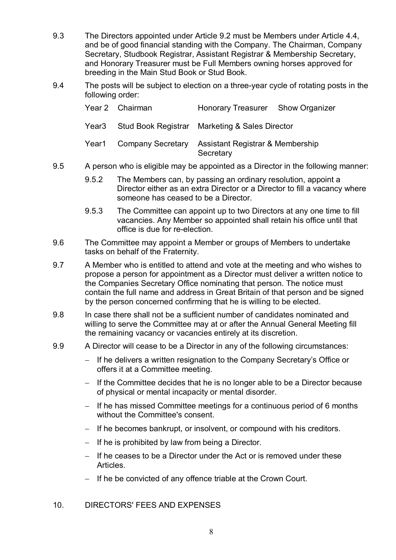- 9.3 The Directors appointed under Article 9.2 must be Members under Article 4.4, and be of good financial standing with the Company. The Chairman, Company Secretary, Studbook Registrar, Assistant Registrar & Membership Secretary, and Honorary Treasurer must be Full Members owning horses approved for breeding in the Main Stud Book or Stud Book.
- 9.4 The posts will be subject to election on a three-year cycle of rotating posts in the following order:

| Year 2 Chairman         | Honorary Treasurer Show Organizer                        |  |
|-------------------------|----------------------------------------------------------|--|
|                         | Year3 Stud Book Registrar Marketing & Sales Director     |  |
| Year1 Company Secretary | <b>Assistant Registrar &amp; Membership</b><br>Secretary |  |

- 9.5 A person who is eligible may be appointed as a Director in the following manner:
	- 9.5.2 The Members can, by passing an ordinary resolution, appoint a Director either as an extra Director or a Director to fill a vacancy where someone has ceased to be a Director.
	- 9.5.3 The Committee can appoint up to two Directors at any one time to fill vacancies. Any Member so appointed shall retain his office until that office is due for re-election.
- 9.6 The Committee may appoint a Member or groups of Members to undertake tasks on behalf of the Fraternity.
- 9.7 A Member who is entitled to attend and vote at the meeting and who wishes to propose a person for appointment as a Director must deliver a written notice to the Companies Secretary Office nominating that person. The notice must contain the full name and address in Great Britain of that person and be signed by the person concerned confirming that he is willing to be elected.
- 9.8 In case there shall not be a sufficient number of candidates nominated and willing to serve the Committee may at or after the Annual General Meeting fill the remaining vacancy or vacancies entirely at its discretion.
- 9.9 A Director will cease to be a Director in any of the following circumstances:
	- − If he delivers a written resignation to the Company Secretary's Office or offers it at a Committee meeting.
	- − If the Committee decides that he is no longer able to be a Director because of physical or mental incapacity or mental disorder.
	- − If he has missed Committee meetings for a continuous period of 6 months without the Committee's consent.
	- − If he becomes bankrupt, or insolvent, or compound with his creditors.
	- − If he is prohibited by law from being a Director.
	- − If he ceases to be a Director under the Act or is removed under these Articles.
	- − If he be convicted of any offence triable at the Crown Court.

# 10. DIRECTORS' FEES AND EXPENSES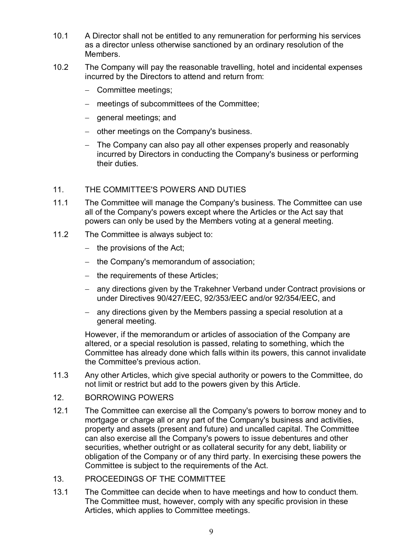- 10.1 A Director shall not be entitled to any remuneration for performing his services as a director unless otherwise sanctioned by an ordinary resolution of the Members.
- 10.2 The Company will pay the reasonable travelling, hotel and incidental expenses incurred by the Directors to attend and return from:
	- − Committee meetings;
	- − meetings of subcommittees of the Committee;
	- − general meetings; and
	- − other meetings on the Company's business.
	- − The Company can also pay all other expenses properly and reasonably incurred by Directors in conducting the Company's business or performing their duties.
- 11. THE COMMITTEE'S POWERS AND DUTIES
- 11.1 The Committee will manage the Company's business. The Committee can use all of the Company's powers except where the Articles or the Act say that powers can only be used by the Members voting at a general meeting.
- 11.2 The Committee is always subject to:
	- − the provisions of the Act;
	- − the Company's memorandum of association;
	- − the requirements of these Articles;
	- − any directions given by the Trakehner Verband under Contract provisions or under Directives 90/427/EEC, 92/353/EEC and/or 92/354/EEC, and
	- − any directions given by the Members passing a special resolution at a general meeting.

However, if the memorandum or articles of association of the Company are altered, or a special resolution is passed, relating to something, which the Committee has already done which falls within its powers, this cannot invalidate the Committee's previous action.

- 11.3 Any other Articles, which give special authority or powers to the Committee, do not limit or restrict but add to the powers given by this Article.
- 12. BORROWING POWERS
- 12.1 The Committee can exercise all the Company's powers to borrow money and to mortgage or charge all or any part of the Company's business and activities, property and assets (present and future) and uncalled capital. The Committee can also exercise all the Company's powers to issue debentures and other securities, whether outright or as collateral security for any debt, liability or obligation of the Company or of any third party. In exercising these powers the Committee is subject to the requirements of the Act.
- 13. PROCEEDINGS OF THE COMMITTEE
- 13.1 The Committee can decide when to have meetings and how to conduct them. The Committee must, however, comply with any specific provision in these Articles, which applies to Committee meetings.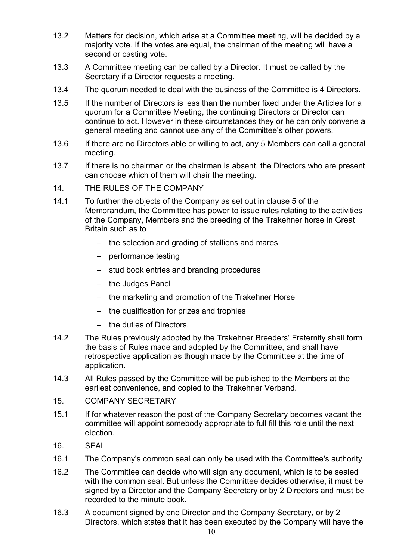- 13.2 Matters for decision, which arise at a Committee meeting, will be decided by a majority vote. If the votes are equal, the chairman of the meeting will have a second or casting vote.
- 13.3 A Committee meeting can be called by a Director. It must be called by the Secretary if a Director requests a meeting.
- 13.4 The quorum needed to deal with the business of the Committee is 4 Directors.
- 13.5 If the number of Directors is less than the number fixed under the Articles for a quorum for a Committee Meeting, the continuing Directors or Director can continue to act. However in these circumstances they or he can only convene a general meeting and cannot use any of the Committee's other powers.
- 13.6 If there are no Directors able or willing to act, any 5 Members can call a general meeting.
- 13.7 If there is no chairman or the chairman is absent, the Directors who are present can choose which of them will chair the meeting.
- 14. THE RULES OF THE COMPANY
- 14.1 To further the objects of the Company as set out in clause 5 of the Memorandum, the Committee has power to issue rules relating to the activities of the Company, Members and the breeding of the Trakehner horse in Great Britain such as to
	- − the selection and grading of stallions and mares
	- − performance testing
	- − stud book entries and branding procedures
	- − the Judges Panel
	- − the marketing and promotion of the Trakehner Horse
	- − the qualification for prizes and trophies
	- − the duties of Directors.
- 14.2 The Rules previously adopted by the Trakehner Breeders' Fraternity shall form the basis of Rules made and adopted by the Committee, and shall have retrospective application as though made by the Committee at the time of application.
- 14.3 All Rules passed by the Committee will be published to the Members at the earliest convenience, and copied to the Trakehner Verband.
- 15. COMPANY SECRETARY
- 15.1 If for whatever reason the post of the Company Secretary becomes vacant the committee will appoint somebody appropriate to full fill this role until the next election.
- 16. SEAL
- 16.1 The Company's common seal can only be used with the Committee's authority.
- 16.2 The Committee can decide who will sign any document, which is to be sealed with the common seal. But unless the Committee decides otherwise, it must be signed by a Director and the Company Secretary or by 2 Directors and must be recorded to the minute book.
- 16.3 A document signed by one Director and the Company Secretary, or by 2 Directors, which states that it has been executed by the Company will have the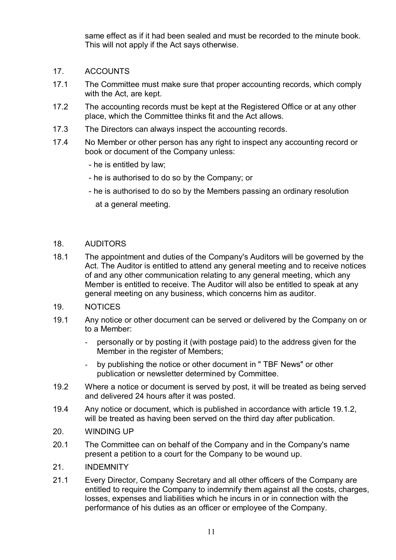same effect as if it had been sealed and must be recorded to the minute book. This will not apply if the Act says otherwise.

- 17. ACCOUNTS
- 17.1 The Committee must make sure that proper accounting records, which comply with the Act, are kept.
- 17.2 The accounting records must be kept at the Registered Office or at any other place, which the Committee thinks fit and the Act allows.
- 17.3 The Directors can always inspect the accounting records.
- 17.4 No Member or other person has any right to inspect any accounting record or book or document of the Company unless:
	- he is entitled by law;
	- he is authorised to do so by the Company; or
	- he is authorised to do so by the Members passing an ordinary resolution at a general meeting.

#### 18. AUDITORS

- 18.1 The appointment and duties of the Company's Auditors will be governed by the Act. The Auditor is entitled to attend any general meeting and to receive notices of and any other communication relating to any general meeting, which any Member is entitled to receive. The Auditor will also be entitled to speak at any general meeting on any business, which concerns him as auditor.
- 19. NOTICES
- 19.1 Any notice or other document can be served or delivered by the Company on or to a Member:
	- personally or by posting it (with postage paid) to the address given for the Member in the register of Members;
	- by publishing the notice or other document in "TBF News" or other publication or newsletter determined by Committee.
- 19.2 Where a notice or document is served by post, it will be treated as being served and delivered 24 hours after it was posted.
- 19.4 Any notice or document, which is published in accordance with article 19.1.2, will be treated as having been served on the third day after publication.
- 20. WINDING UP
- 20.1 The Committee can on behalf of the Company and in the Company's name present a petition to a court for the Company to be wound up.
- 21. INDEMNITY
- 21.1 Every Director, Company Secretary and all other officers of the Company are entitled to require the Company to indemnify them against all the costs, charges, losses, expenses and liabilities which he incurs in or in connection with the performance of his duties as an officer or employee of the Company.